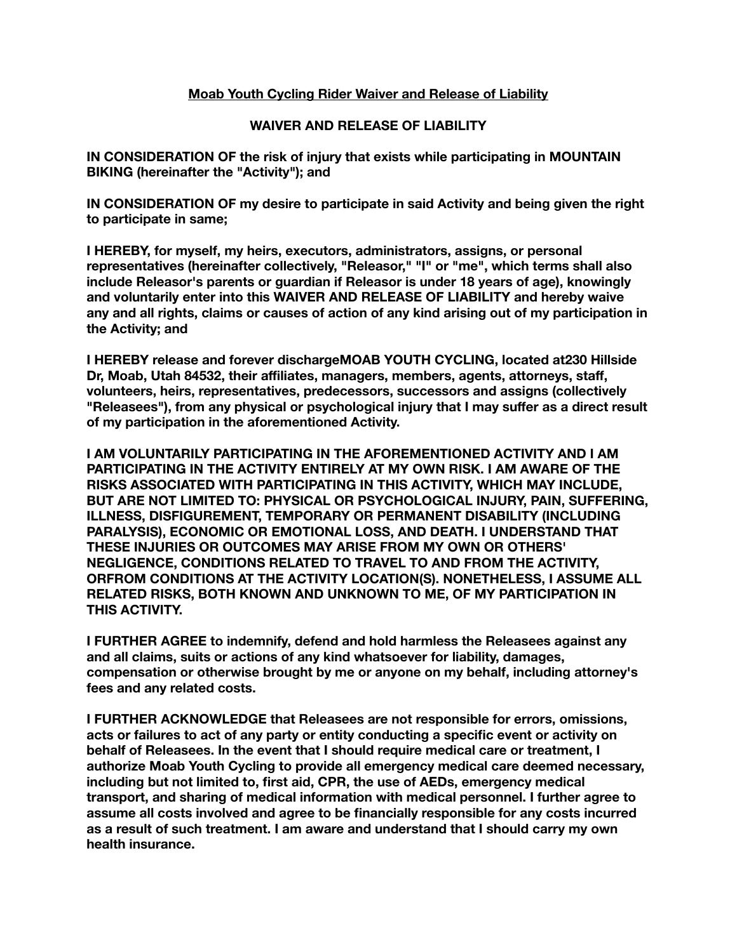## **Moab Youth Cycling Rider Waiver and Release of Liability**

## **WAIVER AND RELEASE OF LIABILITY**

**IN CONSIDERATION OF the risk of injury that exists while participating in MOUNTAIN BIKING (hereinafter the "Activity"); and** 

**IN CONSIDERATION OF my desire to participate in said Activity and being given the right to participate in same;** 

**I HEREBY, for myself, my heirs, executors, administrators, assigns, or personal representatives (hereinafter collectively, "Releasor," "I" or "me", which terms shall also include Releasor's parents or guardian if Releasor is under 18 years of age), knowingly and voluntarily enter into this WAIVER AND RELEASE OF LIABILITY and hereby waive any and all rights, claims or causes of action of any kind arising out of my participation in the Activity; and** 

**I HEREBY release and forever dischargeMOAB YOUTH CYCLING, located at230 Hillside Dr, Moab, Utah 84532, their affiliates, managers, members, agents, attorneys, staff, volunteers, heirs, representatives, predecessors, successors and assigns (collectively "Releasees"), from any physical or psychological injury that I may suffer as a direct result of my participation in the aforementioned Activity.** 

**I AM VOLUNTARILY PARTICIPATING IN THE AFOREMENTIONED ACTIVITY AND I AM PARTICIPATING IN THE ACTIVITY ENTIRELY AT MY OWN RISK. I AM AWARE OF THE RISKS ASSOCIATED WITH PARTICIPATING IN THIS ACTIVITY, WHICH MAY INCLUDE, BUT ARE NOT LIMITED TO: PHYSICAL OR PSYCHOLOGICAL INJURY, PAIN, SUFFERING, ILLNESS, DISFIGUREMENT, TEMPORARY OR PERMANENT DISABILITY (INCLUDING PARALYSIS), ECONOMIC OR EMOTIONAL LOSS, AND DEATH. I UNDERSTAND THAT THESE INJURIES OR OUTCOMES MAY ARISE FROM MY OWN OR OTHERS' NEGLIGENCE, CONDITIONS RELATED TO TRAVEL TO AND FROM THE ACTIVITY, ORFROM CONDITIONS AT THE ACTIVITY LOCATION(S). NONETHELESS, I ASSUME ALL RELATED RISKS, BOTH KNOWN AND UNKNOWN TO ME, OF MY PARTICIPATION IN THIS ACTIVITY.** 

**I FURTHER AGREE to indemnify, defend and hold harmless the Releasees against any and all claims, suits or actions of any kind whatsoever for liability, damages, compensation or otherwise brought by me or anyone on my behalf, including attorney's fees and any related costs.** 

**I FURTHER ACKNOWLEDGE that Releasees are not responsible for errors, omissions, acts or failures to act of any party or entity conducting a specific event or activity on behalf of Releasees. In the event that I should require medical care or treatment, I authorize Moab Youth Cycling to provide all emergency medical care deemed necessary, including but not limited to, first aid, CPR, the use of AEDs, emergency medical transport, and sharing of medical information with medical personnel. I further agree to assume all costs involved and agree to be financially responsible for any costs incurred as a result of such treatment. I am aware and understand that I should carry my own health insurance.**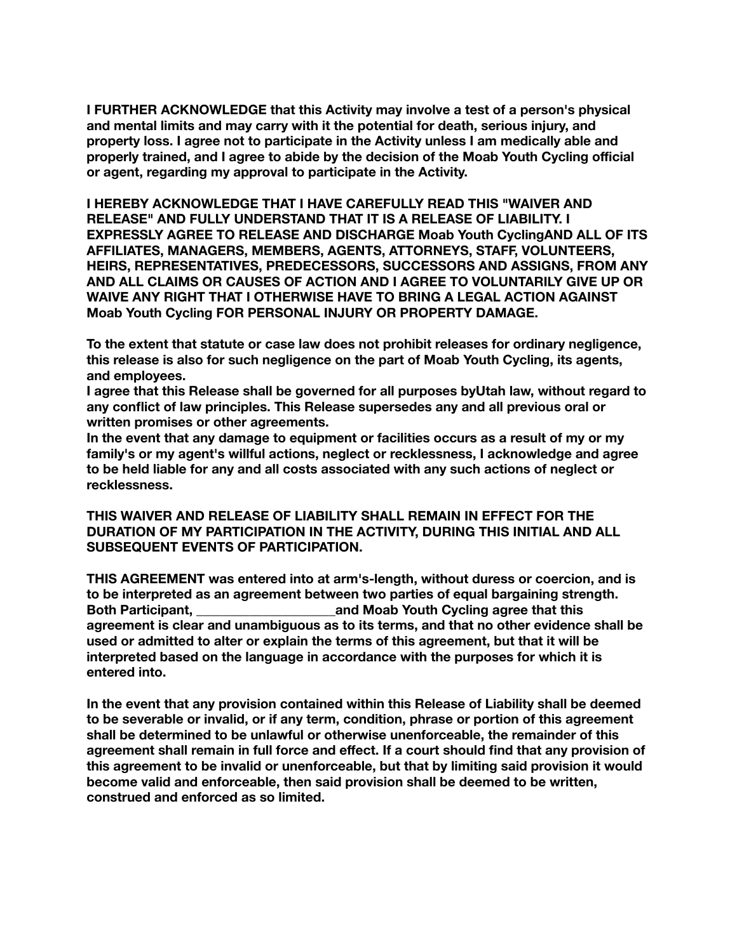**I FURTHER ACKNOWLEDGE that this Activity may involve a test of a person's physical and mental limits and may carry with it the potential for death, serious injury, and property loss. I agree not to participate in the Activity unless I am medically able and properly trained, and I agree to abide by the decision of the Moab Youth Cycling official or agent, regarding my approval to participate in the Activity.** 

**I HEREBY ACKNOWLEDGE THAT I HAVE CAREFULLY READ THIS "WAIVER AND RELEASE" AND FULLY UNDERSTAND THAT IT IS A RELEASE OF LIABILITY. I EXPRESSLY AGREE TO RELEASE AND DISCHARGE Moab Youth CyclingAND ALL OF ITS AFFILIATES, MANAGERS, MEMBERS, AGENTS, ATTORNEYS, STAFF, VOLUNTEERS, HEIRS, REPRESENTATIVES, PREDECESSORS, SUCCESSORS AND ASSIGNS, FROM ANY AND ALL CLAIMS OR CAUSES OF ACTION AND I AGREE TO VOLUNTARILY GIVE UP OR WAIVE ANY RIGHT THAT I OTHERWISE HAVE TO BRING A LEGAL ACTION AGAINST Moab Youth Cycling FOR PERSONAL INJURY OR PROPERTY DAMAGE.** 

**To the extent that statute or case law does not prohibit releases for ordinary negligence, this release is also for such negligence on the part of Moab Youth Cycling, its agents, and employees.** 

**I agree that this Release shall be governed for all purposes byUtah law, without regard to any conflict of law principles. This Release supersedes any and all previous oral or written promises or other agreements.** 

**In the event that any damage to equipment or facilities occurs as a result of my or my family's or my agent's willful actions, neglect or recklessness, I acknowledge and agree to be held liable for any and all costs associated with any such actions of neglect or recklessness.** 

**THIS WAIVER AND RELEASE OF LIABILITY SHALL REMAIN IN EFFECT FOR THE DURATION OF MY PARTICIPATION IN THE ACTIVITY, DURING THIS INITIAL AND ALL SUBSEQUENT EVENTS OF PARTICIPATION.** 

**THIS AGREEMENT was entered into at arm's-length, without duress or coercion, and is to be interpreted as an agreement between two parties of equal bargaining strength. Both Participant, \_\_\_\_\_\_\_\_\_\_\_\_\_\_\_\_\_\_\_\_\_and Moab Youth Cycling agree that this agreement is clear and unambiguous as to its terms, and that no other evidence shall be used or admitted to alter or explain the terms of this agreement, but that it will be interpreted based on the language in accordance with the purposes for which it is entered into.** 

**In the event that any provision contained within this Release of Liability shall be deemed to be severable or invalid, or if any term, condition, phrase or portion of this agreement shall be determined to be unlawful or otherwise unenforceable, the remainder of this agreement shall remain in full force and effect. If a court should find that any provision of this agreement to be invalid or unenforceable, but that by limiting said provision it would become valid and enforceable, then said provision shall be deemed to be written, construed and enforced as so limited.**